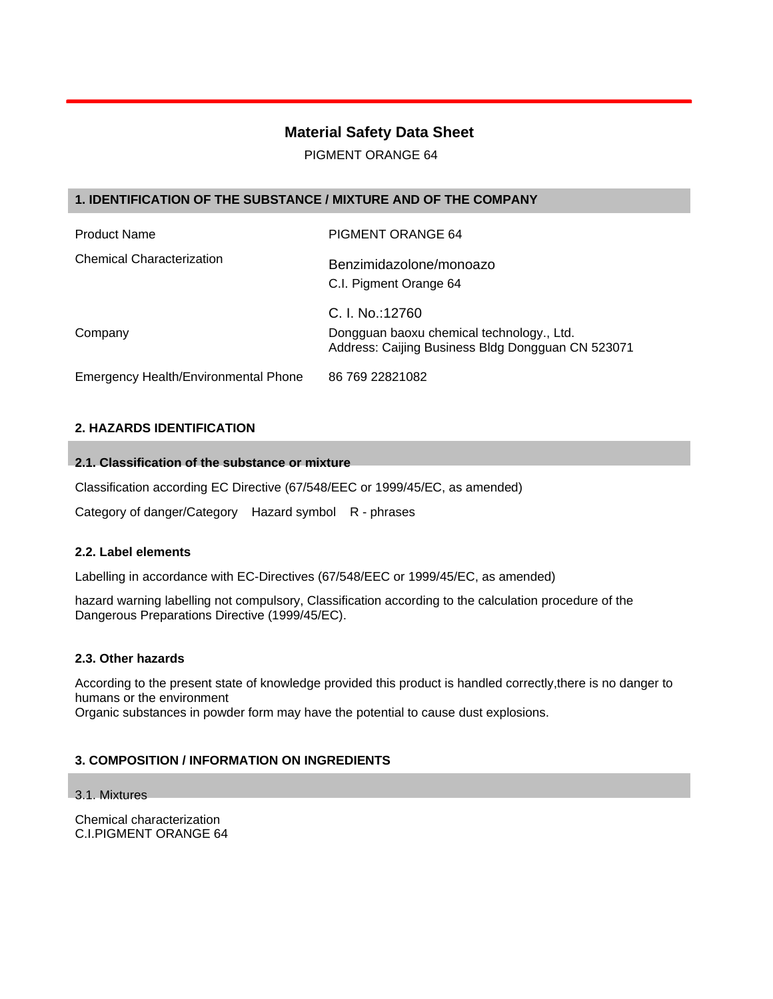# **Material Safety Data Sheet**

PIGMENT ORANGE 64

# **1. IDENTIFICATION OF THE SUBSTANCE / MIXTURE AND OF THE COMPANY**

| <b>Product Name</b>                  | PIGMENT ORANGE 64                                                                                                 |
|--------------------------------------|-------------------------------------------------------------------------------------------------------------------|
| <b>Chemical Characterization</b>     | Benzimidazolone/monoazo<br>C.I. Pigment Orange 64                                                                 |
| Company                              | C. I. No.:12760<br>Dongguan baoxu chemical technology., Ltd.<br>Address: Caijing Business Bldg Dongguan CN 523071 |
| Emergency Health/Environmental Phone | 86 769 22821082                                                                                                   |

# **2. HAZARDS IDENTIFICATION**

# **2.1. Classification of the substance or mixture**

Classification according EC Directive (67/548/EEC or 1999/45/EC, as amended)

Category of danger/Category Hazard symbol R - phrases

# **2.2. Label elements**

Labelling in accordance with EC-Directives (67/548/EEC or 1999/45/EC, as amended)

hazard warning labelling not compulsory, Classification according to the calculation procedure of the Dangerous Preparations Directive (1999/45/EC).

#### **2.3. Other hazards**

According to the present state of knowledge provided this product is handled correctly,there is no danger to humans or the environment

Organic substances in powder form may have the potential to cause dust explosions.

# **3. COMPOSITION / INFORMATION ON INGREDIENTS**

#### 3.1. Mixtures

Chemical characterization C.I.PIGMENT ORANGE 64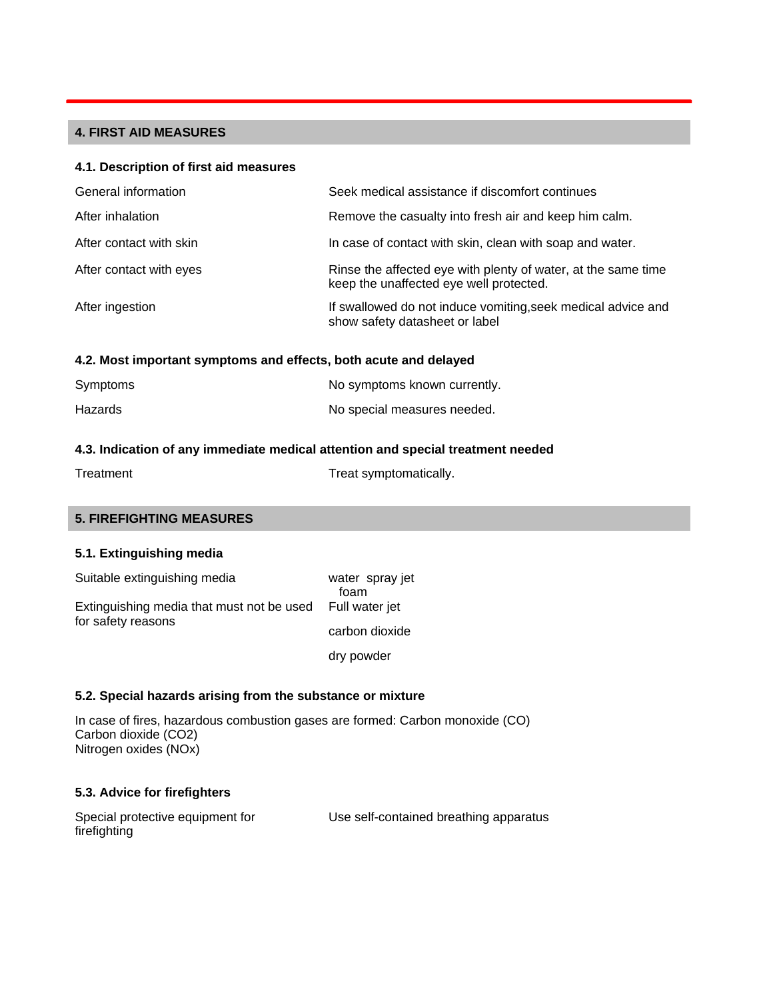# **4. FIRST AID MEASURES**

#### **4.1. Description of first aid measures**

| General information     | Seek medical assistance if discomfort continues                                                          |
|-------------------------|----------------------------------------------------------------------------------------------------------|
| After inhalation        | Remove the casualty into fresh air and keep him calm.                                                    |
| After contact with skin | In case of contact with skin, clean with soap and water.                                                 |
| After contact with eyes | Rinse the affected eye with plenty of water, at the same time<br>keep the unaffected eye well protected. |
| After ingestion         | If swallowed do not induce vomiting, seek medical advice and<br>show safety datasheet or label           |

#### **4.2. Most important symptoms and effects, both acute and delayed**

| Symptoms | No symptoms known currently. |
|----------|------------------------------|
| Hazards  | No special measures needed.  |

# **4.3. Indication of any immediate medical attention and special treatment needed**

| Treatment | Treat symptomatically. |
|-----------|------------------------|
|           |                        |

#### **5. FIREFIGHTING MEASURES**

### **5.1. Extinguishing media**

| Suitable extinguishing media                             | water spray jet<br>foam |
|----------------------------------------------------------|-------------------------|
| Extinguishing media that must not be used Full water jet |                         |
| for safety reasons                                       | carbon dioxide          |
|                                                          | dry powder              |

#### **5.2. Special hazards arising from the substance or mixture**

In case of fires, hazardous combustion gases are formed: Carbon monoxide (CO) Carbon dioxide (CO2) Nitrogen oxides (NOx)

# **5.3. Advice for firefighters**

| Special protective equipment for | Use self-contained breathing apparatus |
|----------------------------------|----------------------------------------|
| firefighting                     |                                        |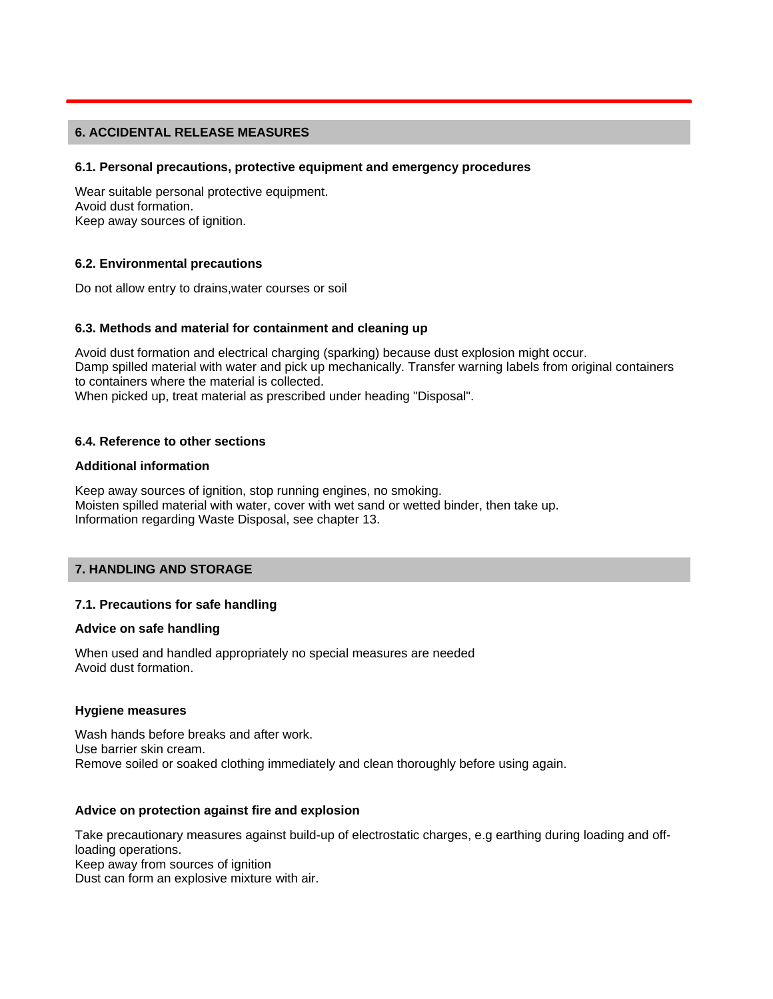#### **6. ACCIDENTAL RELEASE MEASURES**

#### **6.1. Personal precautions, protective equipment and emergency procedures**

Wear suitable personal protective equipment. Avoid dust formation. Keep away sources of ignition.

#### **6.2. Environmental precautions**

Do not allow entry to drains,water courses or soil

#### **6.3. Methods and material for containment and cleaning up**

Avoid dust formation and electrical charging (sparking) because dust explosion might occur. Damp spilled material with water and pick up mechanically. Transfer warning labels from original containers to containers where the material is collected. When picked up, treat material as prescribed under heading "Disposal".

#### **6.4. Reference to other sections**

#### **Additional information**

Keep away sources of ignition, stop running engines, no smoking. Moisten spilled material with water, cover with wet sand or wetted binder, then take up. Information regarding Waste Disposal, see chapter 13.

# **7. HANDLING AND STORAGE**

#### **7.1. Precautions for safe handling**

#### **Advice on safe handling**

When used and handled appropriately no special measures are needed Avoid dust formation.

#### **Hygiene measures**

Wash hands before breaks and after work. Use barrier skin cream. Remove soiled or soaked clothing immediately and clean thoroughly before using again.

#### **Advice on protection against fire and explosion**

Take precautionary measures against build-up of electrostatic charges, e.g earthing during loading and offloading operations. Keep away from sources of ignition Dust can form an explosive mixture with air.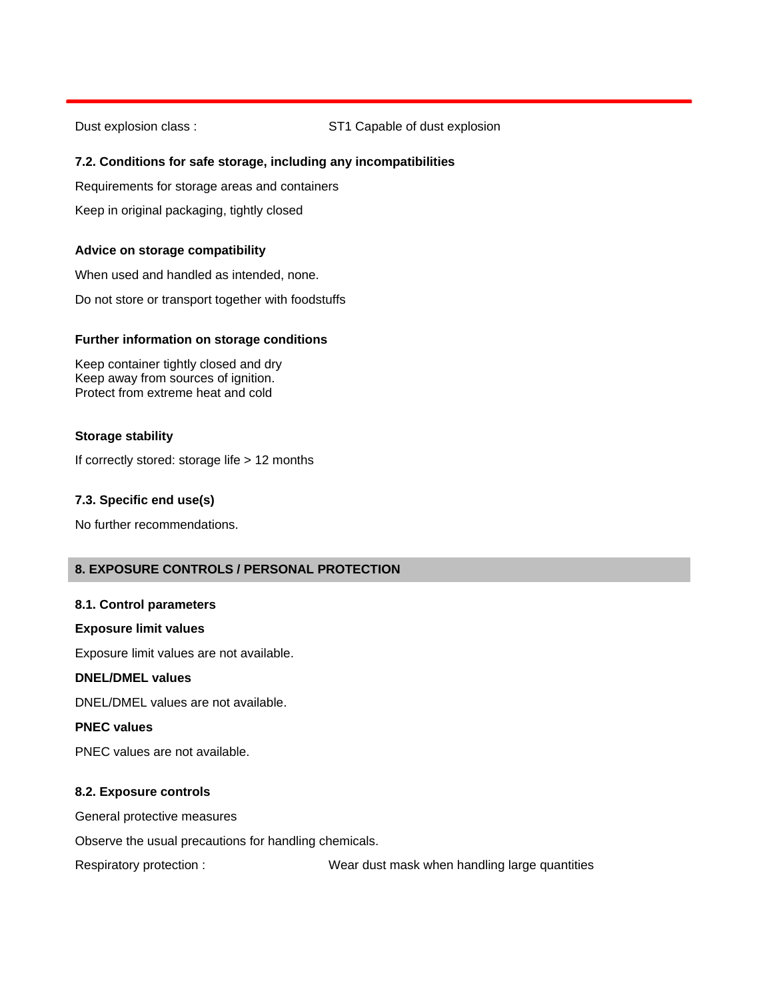Dust explosion class : ST1 Capable of dust explosion

# **7.2. Conditions for safe storage, including any incompatibilities**

Requirements for storage areas and containers

Keep in original packaging, tightly closed

# **Advice on storage compatibility**

When used and handled as intended, none.

Do not store or transport together with foodstuffs

#### **Further information on storage conditions**

Keep container tightly closed and dry Keep away from sources of ignition. Protect from extreme heat and cold

#### **Storage stability**

If correctly stored: storage life > 12 months

#### **7.3. Specific end use(s)**

No further recommendations.

# **8. EXPOSURE CONTROLS / PERSONAL PROTECTION**

### **8.1. Control parameters**

#### **Exposure limit values**

Exposure limit values are not available.

## **DNEL/DMEL values**

DNEL/DMEL values are not available.

#### **PNEC values**

PNEC values are not available.

#### **8.2. Exposure controls**

General protective measures

Observe the usual precautions for handling chemicals.

Respiratory protection : Wear dust mask when handling large quantities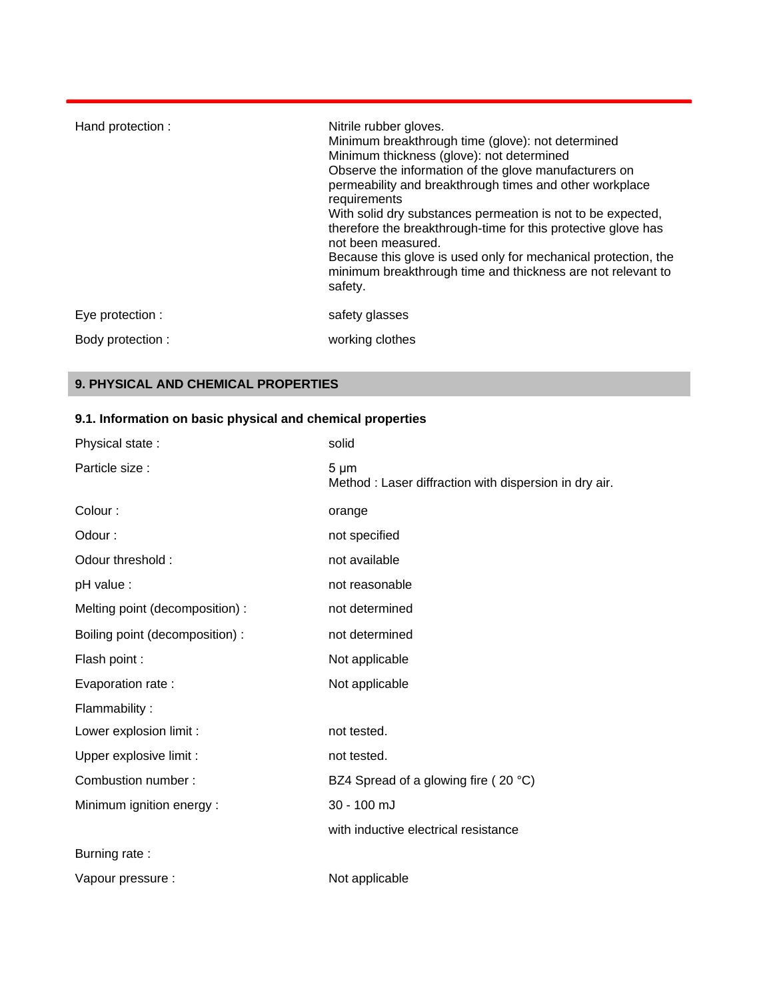| Hand protection : | Nitrile rubber gloves.<br>Minimum breakthrough time (glove): not determined<br>Minimum thickness (glove): not determined<br>Observe the information of the glove manufacturers on<br>permeability and breakthrough times and other workplace<br>requirements<br>With solid dry substances permeation is not to be expected,<br>therefore the breakthrough-time for this protective glove has<br>not been measured.<br>Because this glove is used only for mechanical protection, the<br>minimum breakthrough time and thickness are not relevant to<br>safety. |
|-------------------|----------------------------------------------------------------------------------------------------------------------------------------------------------------------------------------------------------------------------------------------------------------------------------------------------------------------------------------------------------------------------------------------------------------------------------------------------------------------------------------------------------------------------------------------------------------|
| Eye protection :  | safety glasses                                                                                                                                                                                                                                                                                                                                                                                                                                                                                                                                                 |
| Body protection : | working clothes                                                                                                                                                                                                                                                                                                                                                                                                                                                                                                                                                |

# **9. PHYSICAL AND CHEMICAL PROPERTIES**

# **9.1. Information on basic physical and chemical properties**

| Physical state:                 | solid                                                               |
|---------------------------------|---------------------------------------------------------------------|
| Particle size :                 | $5 \mu m$<br>Method : Laser diffraction with dispersion in dry air. |
| Colour:                         | orange                                                              |
| Odour:                          | not specified                                                       |
| Odour threshold:                | not available                                                       |
| pH value :                      | not reasonable                                                      |
| Melting point (decomposition):  | not determined                                                      |
| Boiling point (decomposition) : | not determined                                                      |
| Flash point :                   | Not applicable                                                      |
| Evaporation rate:               | Not applicable                                                      |
| Flammability:                   |                                                                     |
| Lower explosion limit :         | not tested.                                                         |
| Upper explosive limit :         | not tested.                                                         |
| Combustion number:              | BZ4 Spread of a glowing fire (20 °C)                                |
| Minimum ignition energy:        | 30 - 100 mJ                                                         |
|                                 | with inductive electrical resistance                                |
| Burning rate:                   |                                                                     |
| Vapour pressure :               | Not applicable                                                      |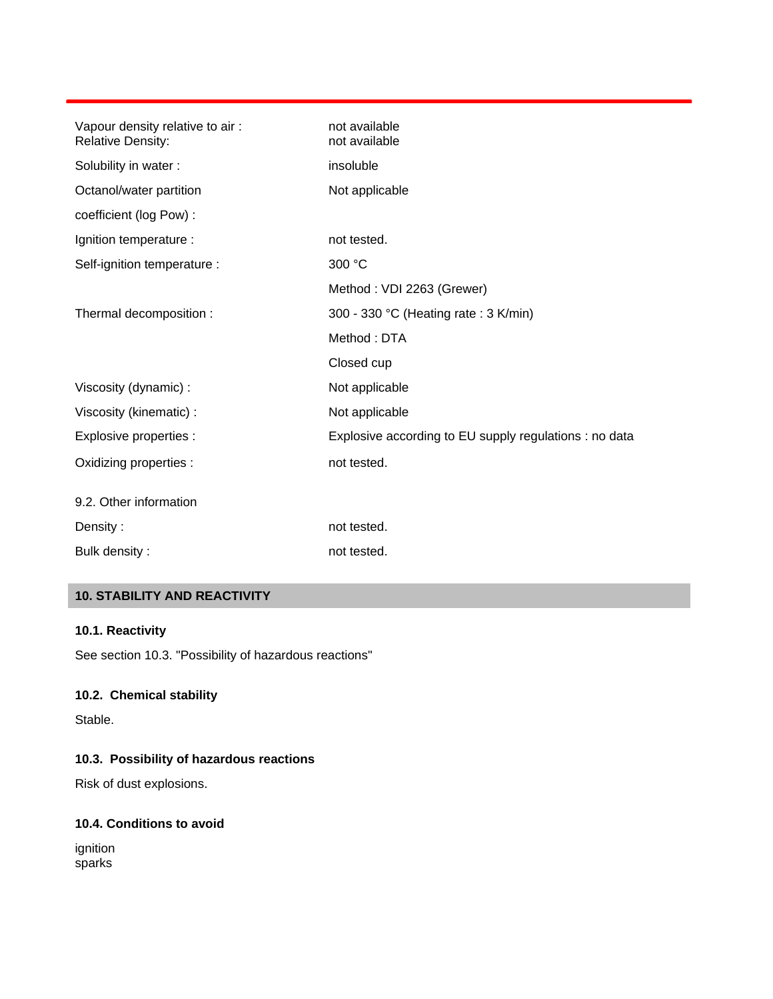| Vapour density relative to air:<br><b>Relative Density:</b> | not available<br>not available                         |
|-------------------------------------------------------------|--------------------------------------------------------|
| Solubility in water:                                        | insoluble                                              |
| Octanol/water partition                                     | Not applicable                                         |
| coefficient (log Pow) :                                     |                                                        |
| Ignition temperature :                                      | not tested.                                            |
| Self-ignition temperature :                                 | 300 °C                                                 |
|                                                             | Method: VDI 2263 (Grewer)                              |
| Thermal decomposition :                                     | 300 - 330 °C (Heating rate : 3 K/min)                  |
|                                                             | Method: DTA                                            |
|                                                             | Closed cup                                             |
| Viscosity (dynamic) :                                       | Not applicable                                         |
| Viscosity (kinematic) :                                     | Not applicable                                         |
| Explosive properties :                                      | Explosive according to EU supply regulations : no data |
| Oxidizing properties :                                      | not tested.                                            |
| 9.2. Other information                                      |                                                        |
| Density:                                                    | not tested.                                            |
| Bulk density:                                               | not tested.                                            |

# **10. STABILITY AND REACTIVITY**

#### **10.1. Reactivity**

See section 10.3. "Possibility of hazardous reactions"

# **10.2. Chemical stability**

Stable.

# **10.3. Possibility of hazardous reactions**

Risk of dust explosions.

# **10.4. Conditions to avoid**

ignition sparks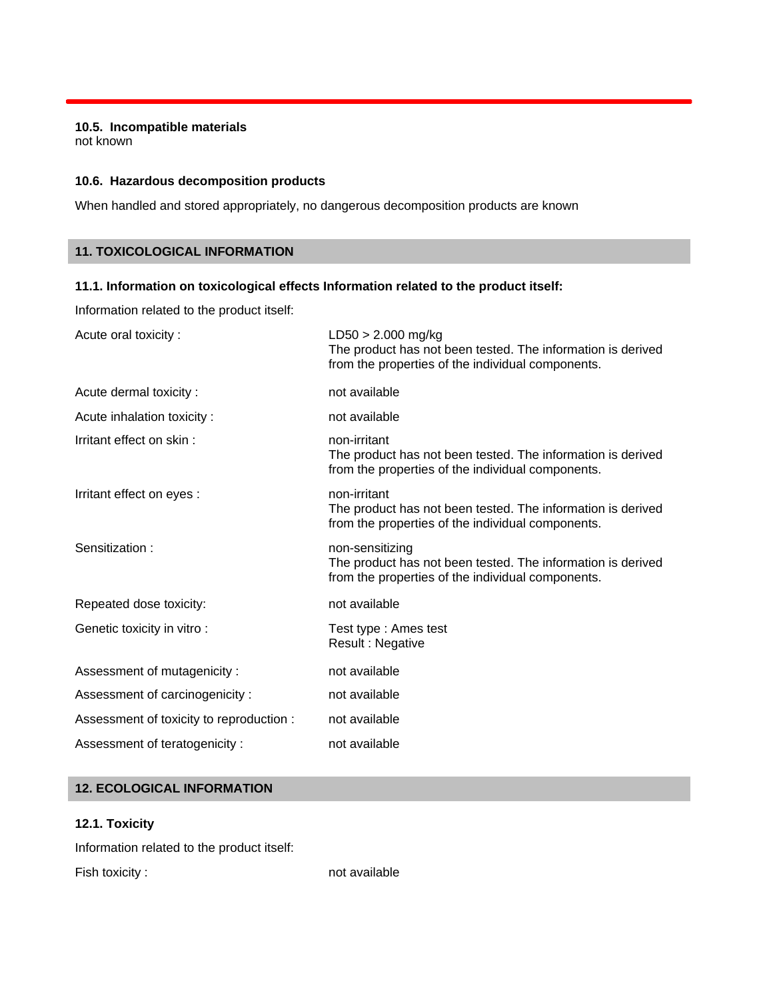#### **10.5. Incompatible materials**

not known

#### **10.6. Hazardous decomposition products**

When handled and stored appropriately, no dangerous decomposition products are known

# **11. TOXICOLOGICAL INFORMATION**

### **11.1. Information on toxicological effects Information related to the product itself:**

Information related to the product itself:

| Acute oral toxicity:                     | $LD50 > 2.000$ mg/kg<br>The product has not been tested. The information is derived<br>from the properties of the individual components. |
|------------------------------------------|------------------------------------------------------------------------------------------------------------------------------------------|
| Acute dermal toxicity:                   | not available                                                                                                                            |
| Acute inhalation toxicity:               | not available                                                                                                                            |
| Irritant effect on skin:                 | non-irritant<br>The product has not been tested. The information is derived<br>from the properties of the individual components.         |
| Irritant effect on eyes :                | non-irritant<br>The product has not been tested. The information is derived<br>from the properties of the individual components.         |
| Sensitization:                           | non-sensitizing<br>The product has not been tested. The information is derived<br>from the properties of the individual components.      |
| Repeated dose toxicity:                  | not available                                                                                                                            |
| Genetic toxicity in vitro:               | Test type: Ames test<br>Result: Negative                                                                                                 |
| Assessment of mutagenicity:              | not available                                                                                                                            |
| Assessment of carcinogenicity:           | not available                                                                                                                            |
| Assessment of toxicity to reproduction : | not available                                                                                                                            |
| Assessment of teratogenicity:            | not available                                                                                                                            |

# **12. ECOLOGICAL INFORMATION**

#### **12.1. Toxicity**

Information related to the product itself:

Fish toxicity : not available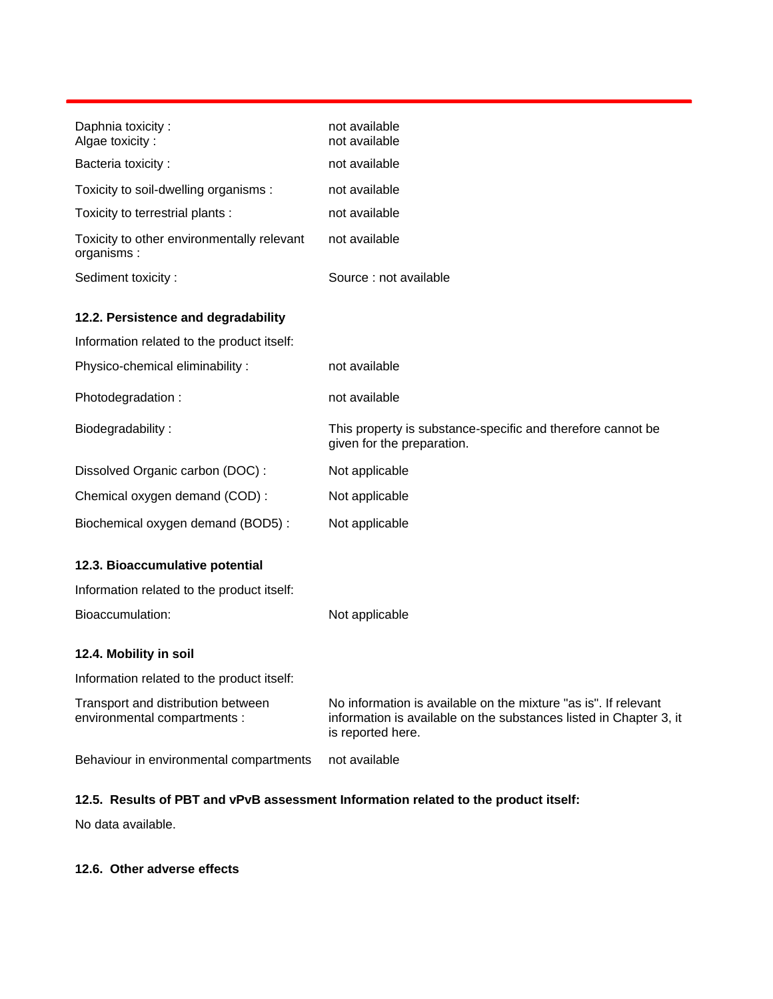| Daphnia toxicity:<br>Algae toxicity:                               | not available<br>not available                                                                                                                             |
|--------------------------------------------------------------------|------------------------------------------------------------------------------------------------------------------------------------------------------------|
| Bacteria toxicity:                                                 | not available                                                                                                                                              |
| Toxicity to soil-dwelling organisms :                              | not available                                                                                                                                              |
| Toxicity to terrestrial plants :                                   | not available                                                                                                                                              |
| Toxicity to other environmentally relevant<br>organisms:           | not available                                                                                                                                              |
| Sediment toxicity:                                                 | Source: not available                                                                                                                                      |
| 12.2. Persistence and degradability                                |                                                                                                                                                            |
| Information related to the product itself:                         |                                                                                                                                                            |
| Physico-chemical eliminability:                                    | not available                                                                                                                                              |
| Photodegradation:                                                  | not available                                                                                                                                              |
| Biodegradability:                                                  | This property is substance-specific and therefore cannot be<br>given for the preparation.                                                                  |
| Dissolved Organic carbon (DOC):                                    | Not applicable                                                                                                                                             |
| Chemical oxygen demand (COD):                                      | Not applicable                                                                                                                                             |
| Biochemical oxygen demand (BOD5):                                  | Not applicable                                                                                                                                             |
| 12.3. Bioaccumulative potential                                    |                                                                                                                                                            |
| Information related to the product itself:                         |                                                                                                                                                            |
| Bioaccumulation:                                                   | Not applicable                                                                                                                                             |
| 12.4. Mobility in soil                                             |                                                                                                                                                            |
| Information related to the product itself:                         |                                                                                                                                                            |
| Transport and distribution between<br>environmental compartments : | No information is available on the mixture "as is". If relevant<br>information is available on the substances listed in Chapter 3, it<br>is reported here. |
| Behaviour in environmental compartments                            | not available                                                                                                                                              |

# **12.5. Results of PBT and vPvB assessment Information related to the product itself:**

No data available.

# **12.6. Other adverse effects**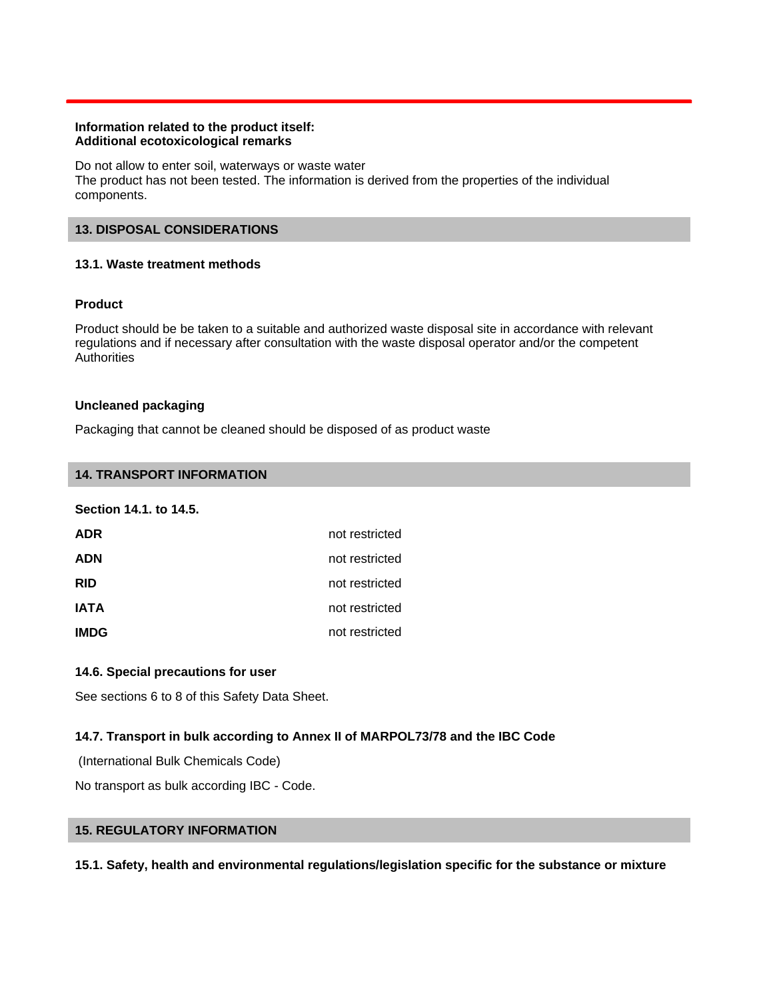#### **Information related to the product itself: Additional ecotoxicological remarks**

Do not allow to enter soil, waterways or waste water The product has not been tested. The information is derived from the properties of the individual components.

### **13. DISPOSAL CONSIDERATIONS**

# **13.1. Waste treatment methods**

# **Product**

Product should be be taken to a suitable and authorized waste disposal site in accordance with relevant regulations and if necessary after consultation with the waste disposal operator and/or the competent **Authorities** 

#### **Uncleaned packaging**

Packaging that cannot be cleaned should be disposed of as product waste

### **14. TRANSPORT INFORMATION**

#### **Section 14.1. to 14.5.**

| <b>ADR</b>  | not restricted |
|-------------|----------------|
| <b>ADN</b>  | not restricted |
| <b>RID</b>  | not restricted |
| <b>IATA</b> | not restricted |
| <b>IMDG</b> | not restricted |

# **14.6. Special precautions for user**

See sections 6 to 8 of this Safety Data Sheet.

# **14.7. Transport in bulk according to Annex II of MARPOL73/78 and the IBC Code**

(International Bulk Chemicals Code)

No transport as bulk according IBC - Code.

# **15. REGULATORY INFORMATION**

#### **15.1. Safety, health and environmental regulations/legislation specific for the substance or mixture**